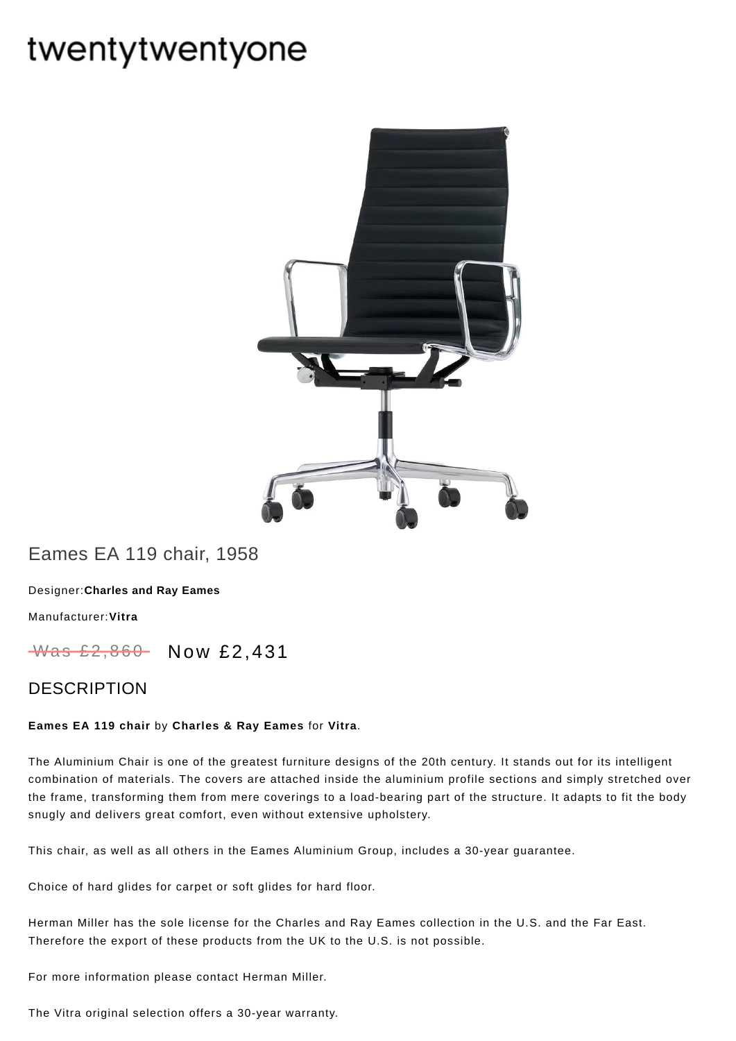# twentytwentyone



## Eames EA 119 chair, 1958

[Designer:](https://www.twentytwentyone.com/collections/designers-charles-and-ray-eames)**Charles and Ray Eames**

[Manufacturer:](https://www.twentytwentyone.com/collections/manufacturers-vitra)**Vitra**

Was £2,860 Now £2,431

### DESCRIPTION

#### **Eames EA 119 chair** by **[Charles](http://twentytwentyone.com/designer/charles-ray-eames) & Ray Eames** for **[Vitra](http://twentytwentyone.com/manufacturer/vitra)**.

The Aluminium Chair is one of the greatest furniture designs of the 20th century. It stands out for its intelligent combination of materials. The covers are attached inside the aluminium profile sections and simply stretched over the frame, transforming them from mere coverings to a load-bearing part of the structure. It adapts to fit the body snugly and delivers great comfort, even without extensive upholstery.

This chair, as well as all others in the Eames Aluminium Group, includes a 30-year guarantee.

Choice of hard glides for carpet or soft glides for hard floor.

Herman Miller has the sole license for the Charles and Ray Eames collection in the U.S. and the Far East. Therefore the export of these products from the UK to the U.S. is not possible.

For more information please contact Herman Miller.

The Vitra original selection offers a 30-year warranty.